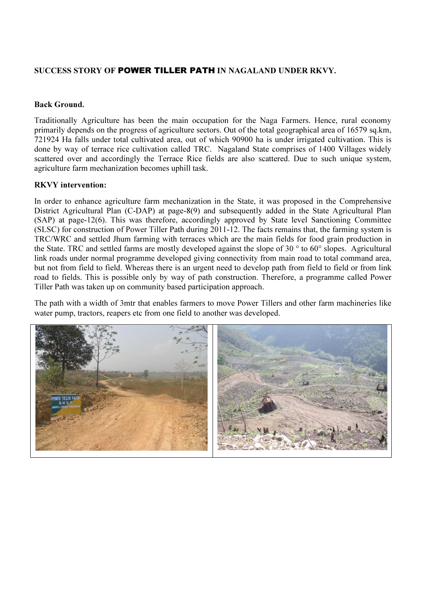## SUCCESS STORY OF POWER TILLER PATH IN NAGALAND UNDER RKVY.

## Back Ground.

Traditionally Agriculture has been the main occupation for the Naga Farmers. Hence, rural economy primarily depends on the progress of agriculture sectors. Out of the total geographical area of 16579 sq.km, 721924 Ha falls under total cultivated area, out of which 90900 ha is under irrigated cultivation. This is done by way of terrace rice cultivation called TRC. Nagaland State comprises of 1400 Villages widely scattered over and accordingly the Terrace Rice fields are also scattered. Due to such unique system, agriculture farm mechanization becomes uphill task.

## RKVY intervention:

In order to enhance agriculture farm mechanization in the State, it was proposed in the Comprehensive District Agricultural Plan (C-DAP) at page-8(9) and subsequently added in the State Agricultural Plan (SAP) at page-12(6). This was therefore, accordingly approved by State level Sanctioning Committee (SLSC) for construction of Power Tiller Path during 2011-12. The facts remains that, the farming system is TRC/WRC and settled Jhum farming with terraces which are the main fields for food grain production in the State. TRC and settled farms are mostly developed against the slope of 30 ° to 60° slopes. Agricultural link roads under normal programme developed giving connectivity from main road to total command area, but not from field to field. Whereas there is an urgent need to develop path from field to field or from link road to fields. This is possible only by way of path construction. Therefore, a programme called Power Tiller Path was taken up on community based participation approach.

The path with a width of 3mtr that enables farmers to move Power Tillers and other farm machineries like water pump, tractors, reapers etc from one field to another was developed.